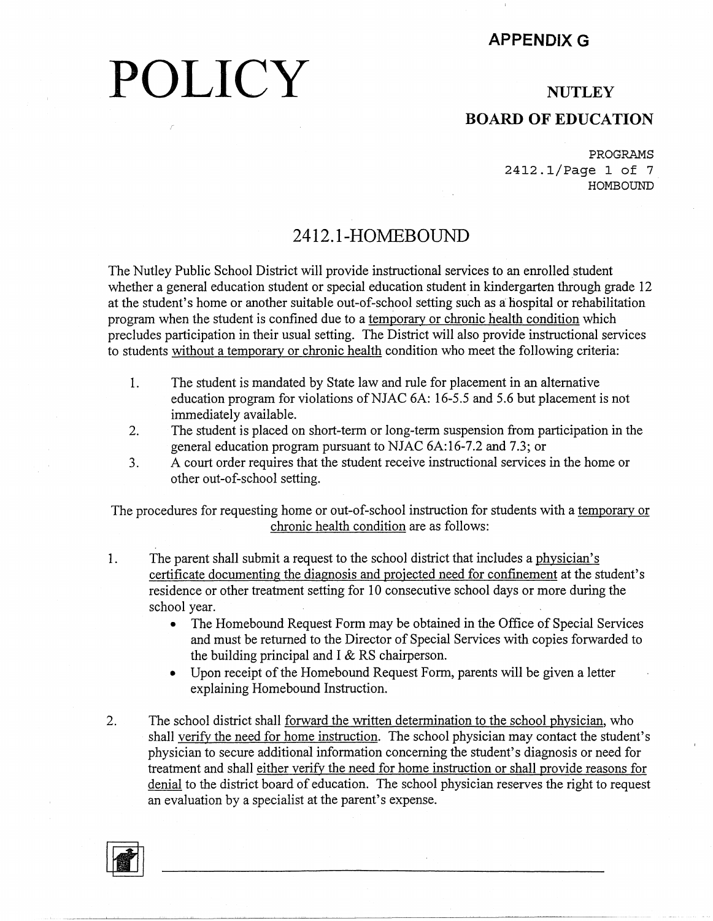#### **APPENDIX G**

## **POLICY**

#### **NUTLEY BOARD OF EDUCATION**

PROGRAMS 2412.1/Page 1 of 7 HOMBOUND

#### **2412.1-HOMEBOUND**

The Nutley Public School District will provide instructional services to an enrolled student whether a general education student or special education student in kindergarten through grade 12 at the student's home or another suitable out-of-school setting such as a hospital or rehabilitation program when the student is confined due to a temporary or chronic health condition which precludes participation in their usual setting. The District will also provide instructional services to students without a temporary or chronic health condition who meet the following criteria:

- 1. The student is mandated by State law and rule for placement in an alternative education program for violations ofNJAC 6A: 16-5.5 and 5.6 but placement is not immediately available.
- 2. The student is placed on short-term or long-term suspension from participation in the general education program pursuant to NJAC 6A:16-7.2 and 7.3; or
- 3. A court order requires that the student receive instructional services in the home or other out-of-school setting.

The procedures for requesting home or out-of-school instruction for students with a temporary or chronic health condition are as follows:

- 1. The parent shall submit a request to the school district that includes a physician's certificate documenting the diagnosis and projected need for confinement at the student's residence or other treatment setting for 10 consecutive school days or more during the school year.
	- The Homebound Request Form may be obtained in the Office of Special Services and must be returned to the Director of Special Services with copies forwarded to the building principal and  $I \& RS$  chairperson.
	- Upon receipt of the Homebound Request Form, parents will be given a letter explaining Homebound Instruction.
- 2. The school district shall forward the written determination to the school physician, who shall verify the need for home instruction. The school physician may contact the student's physician to secure additional information concerning the student's diagnosis or need for treatment and shall either verify the need for home instruction or shall provide reasons for denial to the district board of education. The school physician reserves the right to request an evaluation by a specialist at the parent's expense.

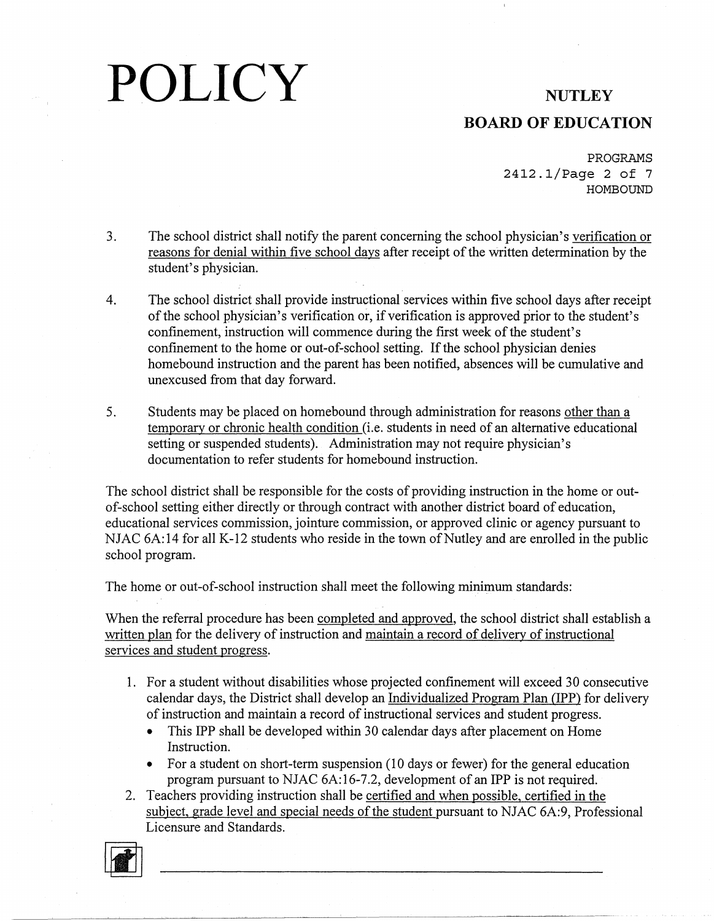### **BOARD OF EDUCATION**

PROGRAMS 2412.1/Page 2 of 7 **HOMBOUND** 

- 3. The school district shall notify the parent concerning the school physician's verification or reasons for denial within five school days after receipt of the written determination by the student's physician.
- 4. The school district shall provide instructional services within five school days after receipt of the school physician's verification or, if verification is approved prior to the student's confinement, instruction will commence during the first week of the student's confinement to the home or out-of-school setting. If the school physician denies homebound instruction and the parent has been notified, absences will be cumulative and unexcused from that day forward.
- 5. Students may be placed on homebound through administration for reasons other than a temporary or chronic health condition (i.e. students in need of an alternative educational setting or suspended students). Administration may not require physician's documentation to refer students for homebound instruction.

The school district shall be responsible for the costs of providing instruction in the home or outof-school setting either directly or through contract with another district board of education, educational services commission, jointure commission, or approved clinic or agency pursuant to NJAC  $6A:14$  for all K-12 students who reside in the town of Nutley and are enrolled in the public school program.

The home or out-of-school instruction shall meet the following minimum standards:

When the referral procedure has been completed and approved, the school district shall establish a written plan for the delivery of instruction and maintain a record of delivery of instructional services and student progress.

- I. For a student without disabilities whose projected confinement will exceed 30 consecutive calendar days, the District shall develop an Individualized Program Plan (IPP) for delivery of instruction and maintain a record of instructional services and student progress.
	- This IPP shall be developed within 30 calendar days after placement on Home Instruction.
	- For a student on short-term suspension (10 days or fewer) for the general education program pursuant to NJAC 6A:16-7.2, development of an IPP is not required.
- 2. Teachers providing instruction shall be certified and when possible, certified in the subject, grade level and special needs of the student pursuant to NJAC 6A:9, Professional Licensure and Standards.

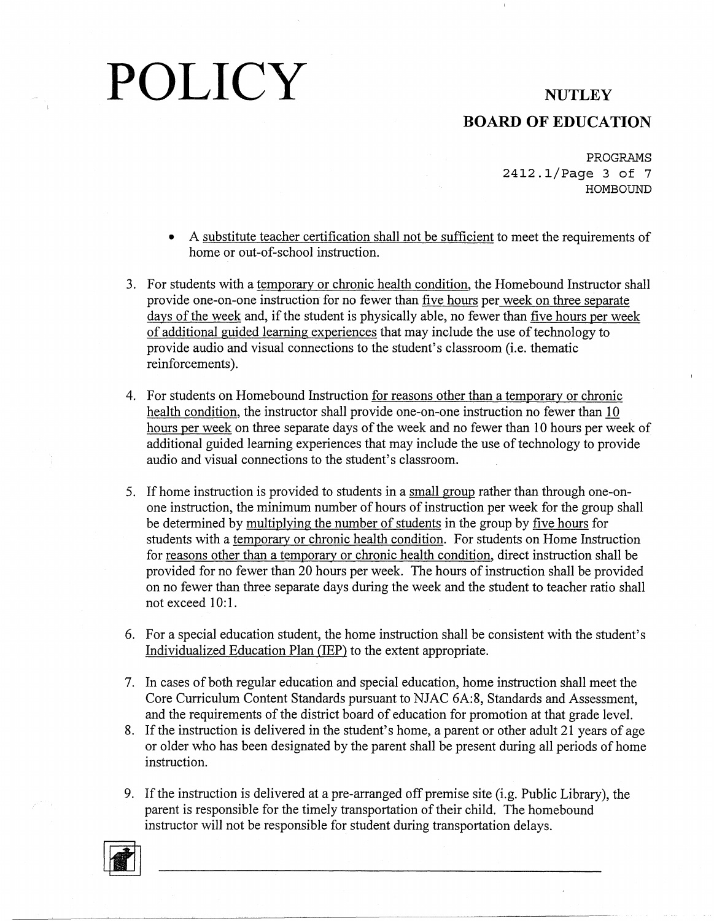### **BOARD OF EDUCATION**

PROGRAMS 2412.1/Page 3 of 7 **HOMBOUND** 

- A substitute teacher certification shall not be sufficient to meet the requirements of home or out-of-school instruction.
- 3. For students with a temporary or chronic health condition. the Homebound Instructor shall provide one-on-one instruction for no fewer than five hours per week on three separate days of the week and. if the student is physically able. no fewer than five hours per week of additional guided learning experiences that may include the use of technology to provide audio and visual connections to the student's classroom (i.e. thematic reinforcements).
- 4. For students on Homebound Instruction for reasons other than a temporary or chronic health condition. the instructor shall provide one-on-one instruction no fewer than 10 hours per week on three separate days of the week and no fewer than 10 hours per week of additional guided learning experiences that may include the use of technology to provide audio and visual connections to the student's classroom.
- 5. If home instruction is provided to students in a small group rather than through one-onone instruction. the minimum number of hours of instruction per week for the group shall be determined by multiplying the number of students in the group by five hours for students with a temporary or chronic health condition. For students on Home Instruction for reasons other than a temporary or chronic health condition. direct instruction shall be provided for no fewer than 20 hours per week. The hours of instruction shall be provided on no fewer than three separate days during the week and the student to teacher ratio shall not exceed 10:1.
- 6. For a special education student. the home instruction shall be consistent with the student's Individualized Education Plan (IEP) to the extent appropriate.
- 7. In cases of both regular education and special education. home instruction shall meet the Core Curriculum Content Standards pursuant to NJAC 6A:8. Standards and Assessment. and the requirements of the district board of education for promotion at that grade level.
- 8. If the instruction is delivered in the student's home. a parent or other adult 21 years of age or older who has been designated by the parent shall be present during all periods of home instruction.
- 9. If the instruction is delivered at a pre-arranged off premise site (i.g. Public Library). the parent is responsible for the timely transportation of their child. The homebound instructor will not be responsible for student during transportation delays.

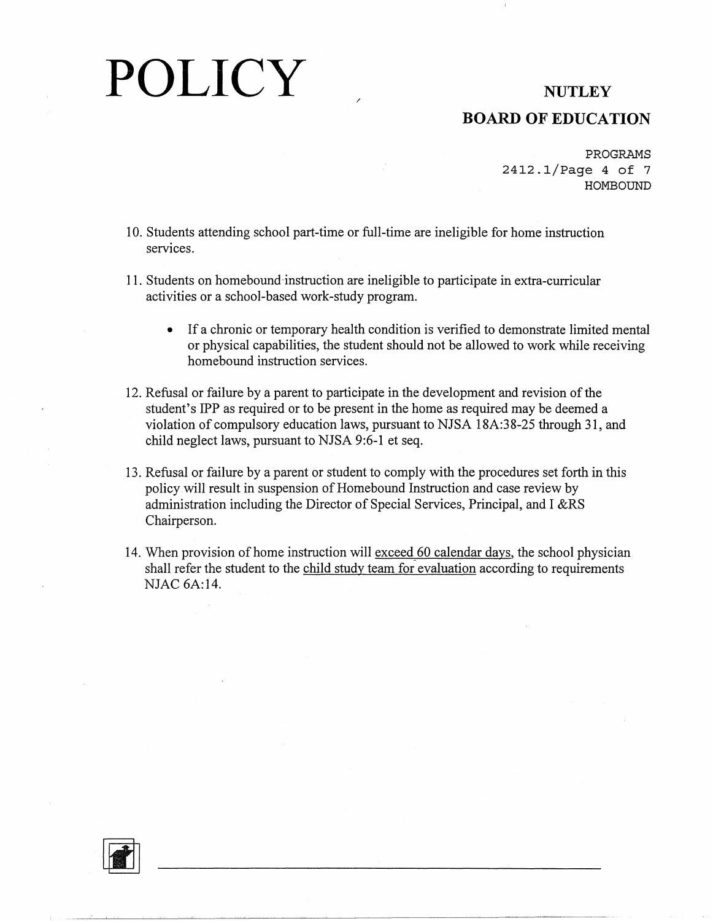### **BOARD OF EDUCATION**

PROGRAMS 2412.1/Page 4 of 7 HOMBOUND

- 10. Students attending school part-time or full-time are ineligible for home instruction services.
- 11. Students on homebound instruction are ineligible to participate in extra-curricular activities or a school-based work-study program.
	- If a chronic or temporary health condition is verified to demonstrate limited mental or physical capabilities, the student should not be allowed to work while receiving homebound instruction services.
- 12. Refusal or failure by a parent to participate in the development and revision of the student's IPP as required or to be present in the home as required may be deemed a violation of compulsory education laws, pursuant to NJSA 18A:38-25 through 31, and child neglect laws, pursuant to NJSA 9:6-1 et seq.
- 13. Refusal or failure by a parent or student to comply with the procedures set forth in this policy will result in suspension of Homebound Instruction and case review by administration including the Director of Special Services, Principal, and I &RS Chairperson.
- 14. When provision of home instruction will exceed 60 calendar days, the school physician shall refer the student to the child study team for evaluation according to requirements NJAC 6A:14.

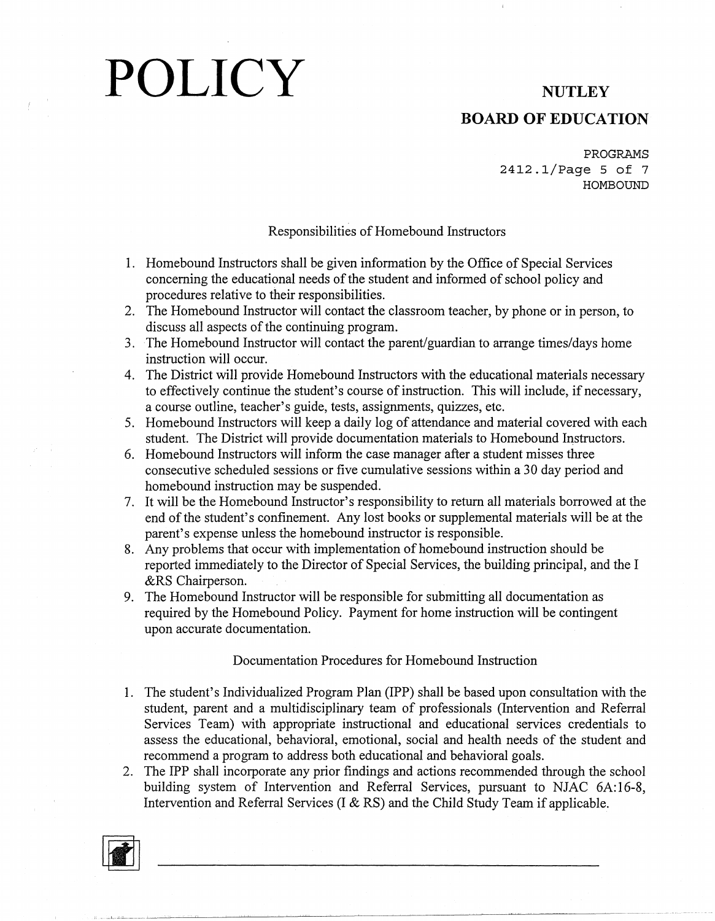### **BOARD OF EDUCATION**

**PROGRAMS**  2412.1/Page 5 of 7 **HOMBOUND** 

#### Responsibilities of Homebound Instructors

- I. Homebound Instructors shall be given information by the Office of Special Services concerning the educational needs of the student and informed of school policy and procedures relative to their responsibilities.
- 2. The Homebound Instructor will contact the classroom teacher, by phone or in person, to discuss all aspects of the continuing program.
- 3. The Homebound Instructor will contact the parent/guardian to arrange times/days home instruction will occur.
- 4. The District will provide Homebound Instructors with the educational materials necessary to effectively continue the student's course of instruction. This will include, if necessary, a course outline, teacher's guide, tests, assignments, quizzes, etc.
- 5. Homebound Instructors will keep a daily log of attendance and material covered with each student. The District will provide documentation materials to Homebound Instructors.
- 6. Homebound Instructors will inform the case manager after a student misses three consecutive scheduled sessions or five cumulative sessions within a 30 day period and homebound instruction may be suspended.
- 7. It will be the Homebound Instructor's responsibility to return all materials borrowed at the end of the student's confinement. Any lost books or supplemental materials will be at the parent's expense unless the homebound instructor is responsible.
- 8. Any problems that occur with implementation of homebound instruction should be reported immediately to the Director of Special Services, the building principal, and the I &RS Chairperson.
- 9. The Homebound Instructor will be responsible for submitting all documentation as required by the Homebound Policy. Payment for home instruction will be contingent upon accurate documentation.

#### Documentation Procedures for Homebound Instruction

- I. The student's Individualized Program Plan (IPP) shall be based upon consultation with the student, parent and a multidisciplinary team of professionals (Intervention and Referral Services Team) with appropriate instructional and educational services credentials to assess the educational, behavioral, emotional, social and health needs of the student and recommend a program to address both educational and behavioral goals.
- 2. The IPP shall incorporate any prior findings and actions recommended through the school building system of Intervention and Referral Services, pursuant to NJAC 6A:16-8, Intervention and Referral Services (I & RS) and the Child Study Team if applicable.

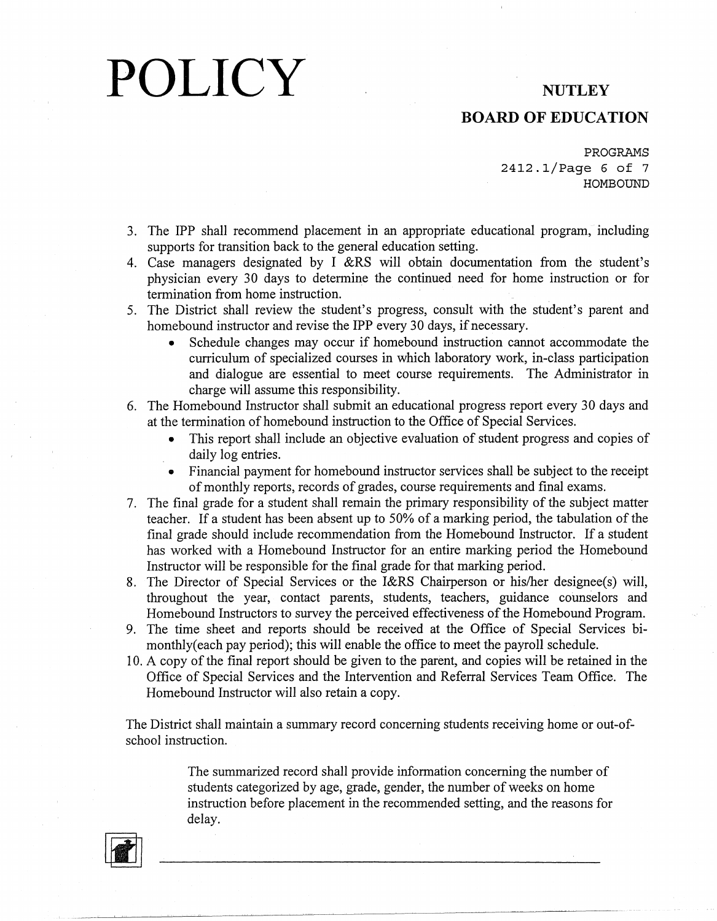#### **BOARD OF EDUCATION**

PROGRAMS 2412.1/Page 6 of 7 HOMBOUND

- 3. The IPP shall recommend placement in an appropriate educational program, including supports for transition back to the general education setting.
- 4. Case managers designated by I &RS will obtain documentation from the student's physician every 30 days to determine the continued need for home instruction or for termination from home instruction.
- 5. The District shall review the student's progress, consult with the student's parent and homebound instructor and revise the IPP every 30 days, if necessary.
	- Schedule changes may occur if homebound instruction cannot accommodate the curriculum of specialized courses in which laboratory work, in-class participation and dialogue are essential to meet course requirements. The Administrator in charge will assume this responsibility.
- 6. The Homebound Instructor shall submit an educational progress report every 30 days and at the termination of homebound instruction to the Office of Special Services.
	- This report shall include an objective evaluation of student progress and copies of daily log entries.
	- Financial payment for homebound instructor services shall be subject to the receipt of monthly reports, records of grades, course requirements and final exams.
- 7. The final grade for a student shall remain the primary responsibility of the subject matter teacher. If a student has been absent up to 50% of a marking period, the tabulation of the final grade should include recommendation from the Homebound Instructor. If a student has worked with a Homebound Instructor for an entire marking period the Homebound Instructor will be responsible for the final grade for that marking period.
- 8. The Director of Special Services or the I&RS Chairperson or his/her designee(s) will, throughout the year, contact parents, students, teachers, guidance counselors and Homebound Instructors to survey the perceived effectiveness of the Homebound Program.
- 9. The time sheet and reports should be received at the Office of Special Services bimonthly( each pay period); this will enable the office to meet the payroll schedule.
- 10. A copy of the final report should be given to the parent, and copies will be retained in the Office of Special Services and the Intervention and Referral Services Team Office. The Homebound Instructor will also retain a copy.

The District shall maintain a summary record concerning students receiving home or out-ofschool instruction.

> The summarized record shall provide information concerning the number of students categorized by age, grade, gender, the number of weeks on home instruction before placement in the recommended setting, and the reasons for delay.